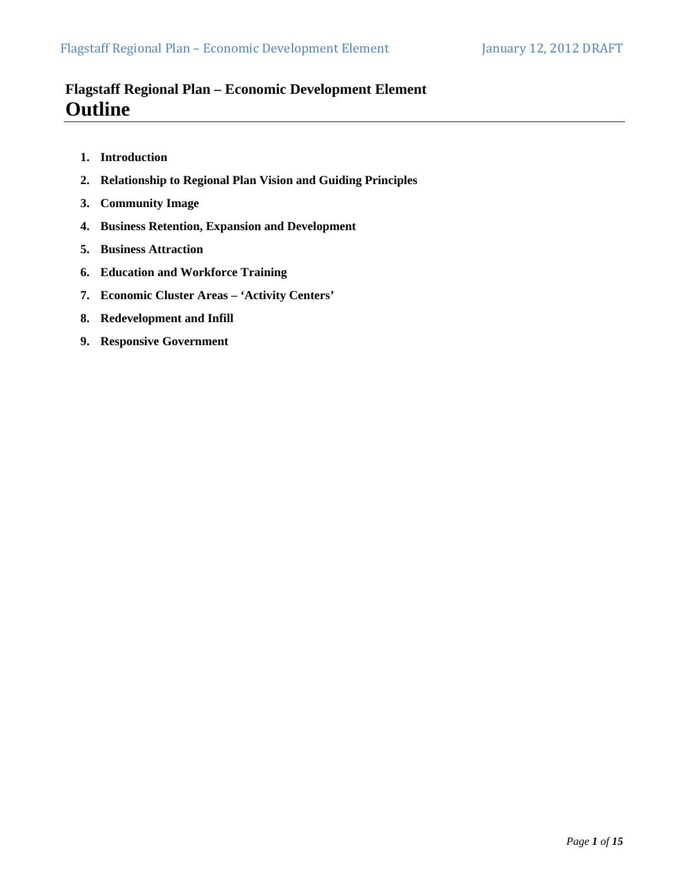## **Flagstaff Regional Plan – Economic Development Element Outline**

- **1. Introduction**
- **2. Relationship to Regional Plan Vision and Guiding Principles**
- **3. Community Image**
- **4. Business Retention, Expansion and Development**
- **5. Business Attraction**
- **6. Education and Workforce Training**
- **7. Economic Cluster Areas 'Activity Centers'**
- **8. Redevelopment and Infill**
- **9. Responsive Government**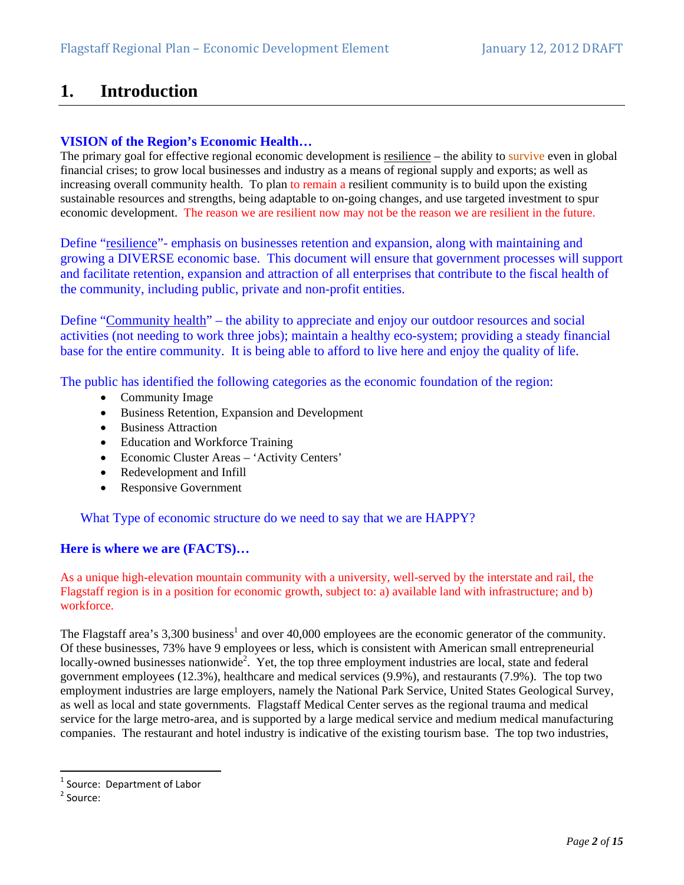# **1. Introduction**

## **VISION of the Region's Economic Health…**

The primary goal for effective regional economic development is resilience – the ability to survive even in global financial crises; to grow local businesses and industry as a means of regional supply and exports; as well as increasing overall community health. To plan to remain a resilient community is to build upon the existing sustainable resources and strengths, being adaptable to on-going changes, and use targeted investment to spur economic development. The reason we are resilient now may not be the reason we are resilient in the future.

Define "resilience"- emphasis on businesses retention and expansion, along with maintaining and growing a DIVERSE economic base. This document will ensure that government processes will support and facilitate retention, expansion and attraction of all enterprises that contribute to the fiscal health of the community, including public, private and non-profit entities.

Define "Community health" – the ability to appreciate and enjoy our outdoor resources and social activities (not needing to work three jobs); maintain a healthy eco-system; providing a steady financial base for the entire community. It is being able to afford to live here and enjoy the quality of life.

The public has identified the following categories as the economic foundation of the region:

- Community Image
- Business Retention, Expansion and Development
- Business Attraction
- Education and Workforce Training
- Economic Cluster Areas 'Activity Centers'
- Redevelopment and Infill
- Responsive Government

What Type of economic structure do we need to say that we are HAPPY?

## **Here is where we are (FACTS)…**

As a unique high-elevation mountain community with a university, well-served by the interstate and rail, the Flagstaff region is in a position for economic growth, subject to: a) available land with infrastructure; and b) workforce.

The Flagstaff area's 3,300 business<sup>1</sup> and over 40,000 employees are the economic generator of the community. Of these businesses, 73% have 9 employees or less, which is consistent with American small entrepreneurial locally-owned businesses nationwide<sup>2</sup>. Yet, the top three employment industries are local, state and federal government employees (12.3%), healthcare and medical services (9.9%), and restaurants (7.9%). The top two employment industries are large employers, namely the National Park Service, United States Geological Survey, as well as local and state governments. Flagstaff Medical Center serves as the regional trauma and medical service for the large metro-area, and is supported by a large medical service and medium medical manufacturing companies. The restaurant and hotel industry is indicative of the existing tourism base. The top two industries,

<sup>&</sup>lt;sup>1</sup> Source: Department of Labor<br><sup>2</sup> Source: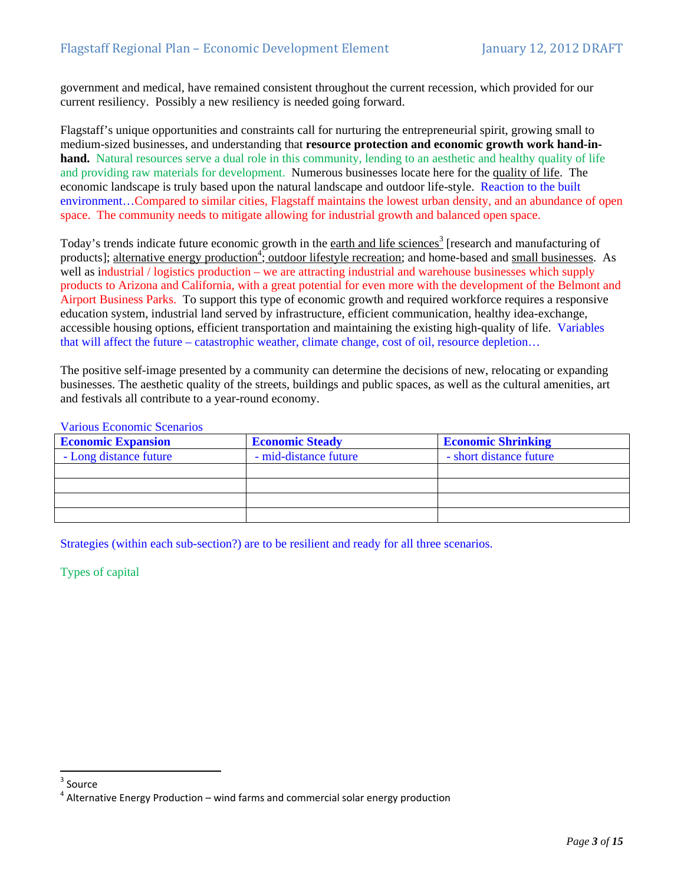government and medical, have remained consistent throughout the current recession, which provided for our current resiliency. Possibly a new resiliency is needed going forward.

Flagstaff's unique opportunities and constraints call for nurturing the entrepreneurial spirit, growing small to medium-sized businesses, and understanding that **resource protection and economic growth work hand-inhand.** Natural resources serve a dual role in this community, lending to an aesthetic and healthy quality of life and providing raw materials for development. Numerous businesses locate here for the quality of life. The economic landscape is truly based upon the natural landscape and outdoor life-style. Reaction to the built environment…Compared to similar cities, Flagstaff maintains the lowest urban density, and an abundance of open space. The community needs to mitigate allowing for industrial growth and balanced open space.

Today's trends indicate future economic growth in the earth and life sciences<sup>3</sup> [research and manufacturing of products]; alternative energy production<sup>4</sup>; outdoor lifestyle recreation; and home-based and small businesses. As well as industrial / logistics production – we are attracting industrial and warehouse businesses which supply products to Arizona and California, with a great potential for even more with the development of the Belmont and Airport Business Parks. To support this type of economic growth and required workforce requires a responsive education system, industrial land served by infrastructure, efficient communication, healthy idea-exchange, accessible housing options, efficient transportation and maintaining the existing high-quality of life. Variables that will affect the future – catastrophic weather, climate change, cost of oil, resource depletion…

The positive self-image presented by a community can determine the decisions of new, relocating or expanding businesses. The aesthetic quality of the streets, buildings and public spaces, as well as the cultural amenities, art and festivals all contribute to a year-round economy.

Various Economic Scenarios

| <b>Economic Expansion</b> | <b>Economic Steady</b> | <b>Economic Shrinking</b> |
|---------------------------|------------------------|---------------------------|
| - Long distance future    | - mid-distance future  | - short distance future   |
|                           |                        |                           |
|                           |                        |                           |
|                           |                        |                           |
|                           |                        |                           |

Strategies (within each sub-section?) are to be resilient and ready for all three scenarios.

Types of capital

<sup>&</sup>lt;sup>3</sup> Source

 $4$  Alternative Energy Production – wind farms and commercial solar energy production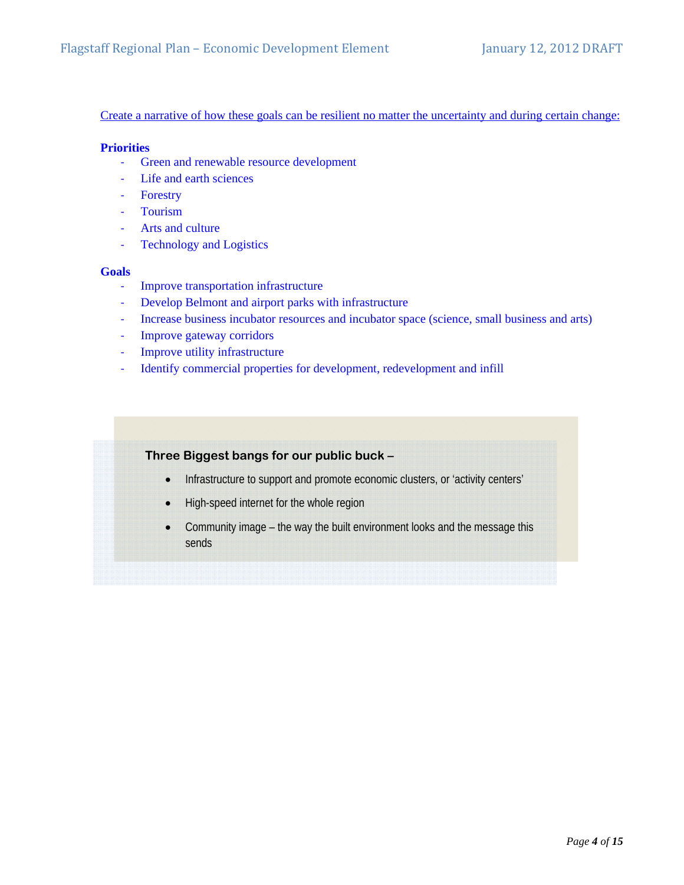Create a narrative of how these goals can be resilient no matter the uncertainty and during certain change:

### **Priorities**

- ‐ Green and renewable resource development
- ‐ Life and earth sciences
- ‐ Forestry
- ‐ Tourism
- ‐ Arts and culture
- ‐ Technology and Logistics

### **Goals**

- ‐ Improve transportation infrastructure
- ‐ Develop Belmont and airport parks with infrastructure
- ‐ Increase business incubator resources and incubator space (science, small business and arts)
- ‐ Improve gateway corridors
- ‐ Improve utility infrastructure
- ‐ Identify commercial properties for development, redevelopment and infill

## **Three Biggest bangs for our public buck –**

- Infrastructure to support and promote economic clusters, or 'activity centers'
- High-speed internet for the whole region
- Community image the way the built environment looks and the message this sends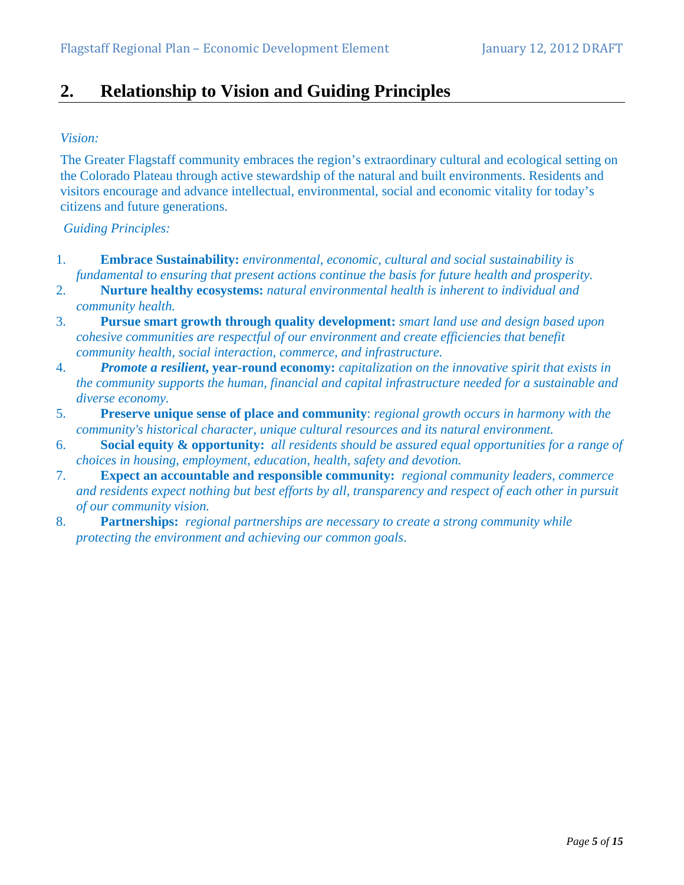# **2. Relationship to Vision and Guiding Principles**

## *Vision:*

The Greater Flagstaff community embraces the region's extraordinary cultural and ecological setting on the Colorado Plateau through active stewardship of the natural and built environments. Residents and visitors encourage and advance intellectual, environmental, social and economic vitality for today's citizens and future generations.

## *Guiding Principles:*

- 1. **Embrace Sustainability:** *environmental, economic, cultural and social sustainability is fundamental to ensuring that present actions continue the basis for future health and prosperity.*
- 2. **Nurture healthy ecosystems:** *natural environmental health is inherent to individual and community health.*
- 3. **Pursue smart growth through quality development:** *smart land use and design based upon cohesive communities are respectful of our environment and create efficiencies that benefit community health, social interaction, commerce, and infrastructure.*
- 4. *Promote a resilient***, year-round economy:** *capitalization on the innovative spirit that exists in the community supports the human, financial and capital infrastructure needed for a sustainable and diverse economy.*
- 5. **Preserve unique sense of place and community**: *regional growth occurs in harmony with the community's historical character, unique cultural resources and its natural environment.*
- 6. **Social equity & opportunity:** *all residents should be assured equal opportunities for a range of choices in housing, employment, education, health, safety and devotion.*
- 7. **Expect an accountable and responsible community:** *regional community leaders, commerce and residents expect nothing but best efforts by all, transparency and respect of each other in pursuit of our community vision.*
- 8. **Partnerships:** *regional partnerships are necessary to create a strong community while protecting the environment and achieving our common goals*.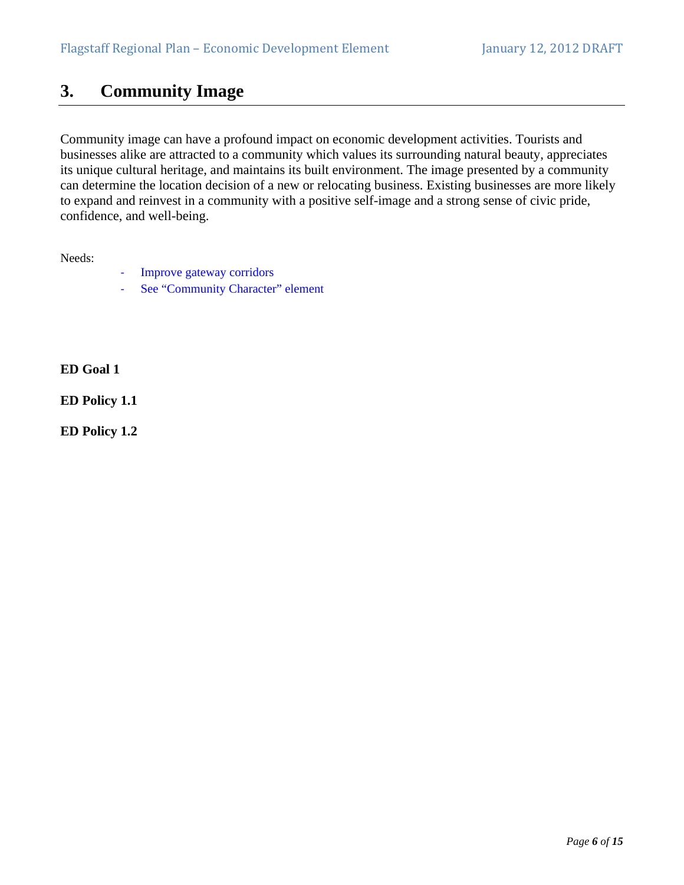## **3. Community Image**

Community image can have a profound impact on economic development activities. Tourists and businesses alike are attracted to a community which values its surrounding natural beauty, appreciates its unique cultural heritage, and maintains its built environment. The image presented by a community can determine the location decision of a new or relocating business. Existing businesses are more likely to expand and reinvest in a community with a positive self-image and a strong sense of civic pride, confidence, and well-being.

Needs:

- ‐ Improve gateway corridors
- ‐ See "Community Character" element

**ED Goal 1** 

**ED Policy 1.1** 

**ED Policy 1.2**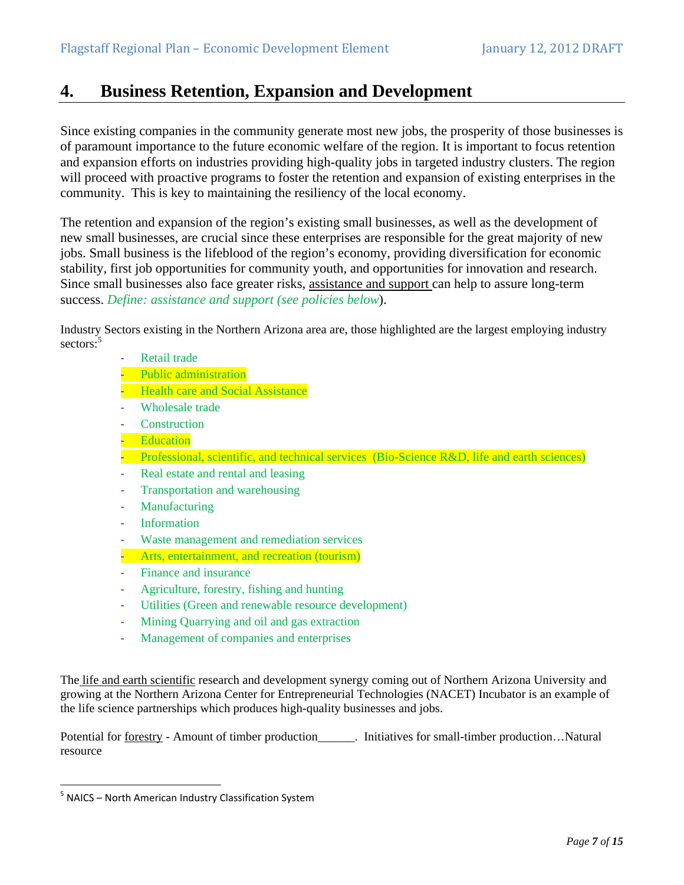## **4. Business Retention, Expansion and Development**

Since existing companies in the community generate most new jobs, the prosperity of those businesses is of paramount importance to the future economic welfare of the region. It is important to focus retention and expansion efforts on industries providing high-quality jobs in targeted industry clusters. The region will proceed with proactive programs to foster the retention and expansion of existing enterprises in the community. This is key to maintaining the resiliency of the local economy.

The retention and expansion of the region's existing small businesses, as well as the development of new small businesses, are crucial since these enterprises are responsible for the great majority of new jobs. Small business is the lifeblood of the region's economy, providing diversification for economic stability, first job opportunities for community youth, and opportunities for innovation and research. Since small businesses also face greater risks, assistance and support can help to assure long-term success. *Define: assistance and support (see policies below*).

Industry Sectors existing in the Northern Arizona area are, those highlighted are the largest employing industry sectors:<sup>5</sup>

- ‐ Retail trade
- ‐ Public administration
- **-** Health care and Social Assistance
- Wholesale trade
- **Construction**
- ‐ Education
- Professional, scientific, and technical services (Bio-Science R&D, life and earth sciences)
- ‐ Real estate and rental and leasing
- ‐ Transportation and warehousing
- ‐ Manufacturing
- **Information**
- ‐ Waste management and remediation services
- ‐ Arts, entertainment, and recreation (tourism)
- ‐ Finance and insurance
- ‐ Agriculture, forestry, fishing and hunting
- ‐ Utilities (Green and renewable resource development)
- ‐ Mining Quarrying and oil and gas extraction
- ‐ Management of companies and enterprises

The life and earth scientific research and development synergy coming out of Northern Arizona University and growing at the Northern Arizona Center for Entrepreneurial Technologies (NACET) Incubator is an example of the life science partnerships which produces high-quality businesses and jobs.

Potential for <u>forestry</u> - Amount of timber production\_\_\_\_\_\_. Initiatives for small-timber production...Natural resource

 $5$  NAICS – North American Industry Classification System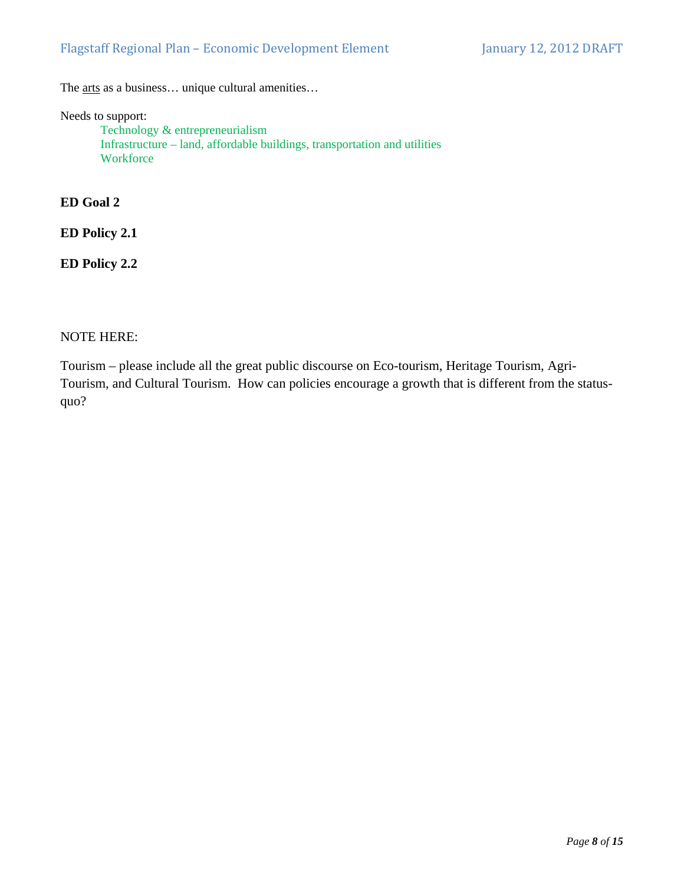The <u>arts</u> as a business... unique cultural amenities...

Needs to support:

Technology & entrepreneurialism Infrastructure – land, affordable buildings, transportation and utilities **Workforce** 

**ED Goal 2** 

**ED Policy 2.1** 

**ED Policy 2.2** 

NOTE HERE:

Tourism – please include all the great public discourse on Eco-tourism, Heritage Tourism, Agri-Tourism, and Cultural Tourism. How can policies encourage a growth that is different from the statusquo?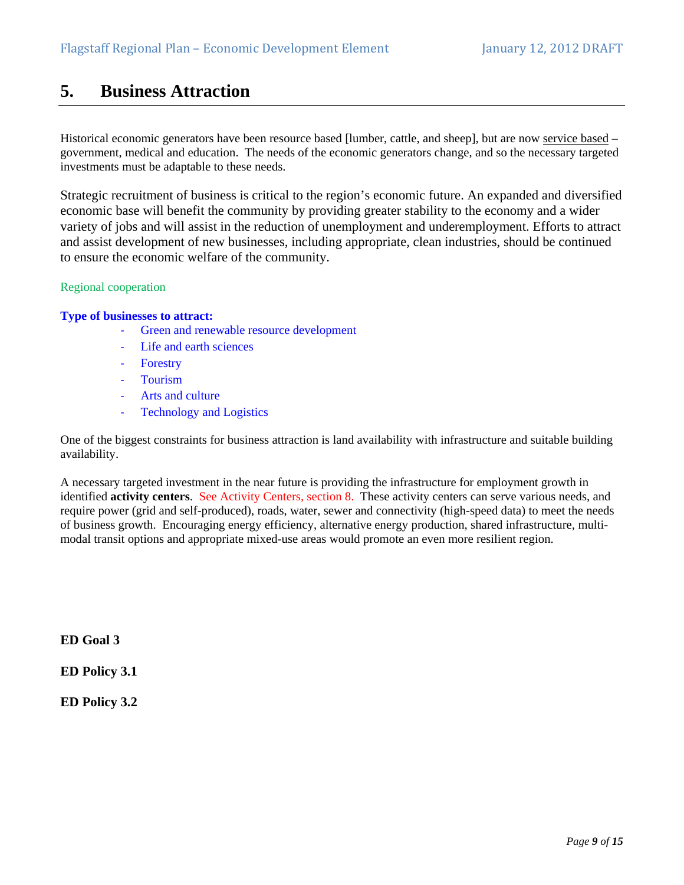## **5. Business Attraction**

Historical economic generators have been resource based [lumber, cattle, and sheep], but are now service based – government, medical and education. The needs of the economic generators change, and so the necessary targeted investments must be adaptable to these needs.

Strategic recruitment of business is critical to the region's economic future. An expanded and diversified economic base will benefit the community by providing greater stability to the economy and a wider variety of jobs and will assist in the reduction of unemployment and underemployment. Efforts to attract and assist development of new businesses, including appropriate, clean industries, should be continued to ensure the economic welfare of the community.

### Regional cooperation

### **Type of businesses to attract:**

- Green and renewable resource development
- ‐ Life and earth sciences
- ‐ Forestry
- ‐ Tourism
- ‐ Arts and culture
- ‐ Technology and Logistics

One of the biggest constraints for business attraction is land availability with infrastructure and suitable building availability.

A necessary targeted investment in the near future is providing the infrastructure for employment growth in identified **activity centers**. See Activity Centers, section 8. These activity centers can serve various needs, and require power (grid and self-produced), roads, water, sewer and connectivity (high-speed data) to meet the needs of business growth. Encouraging energy efficiency, alternative energy production, shared infrastructure, multimodal transit options and appropriate mixed-use areas would promote an even more resilient region.

**ED Goal 3** 

**ED Policy 3.1** 

**ED Policy 3.2**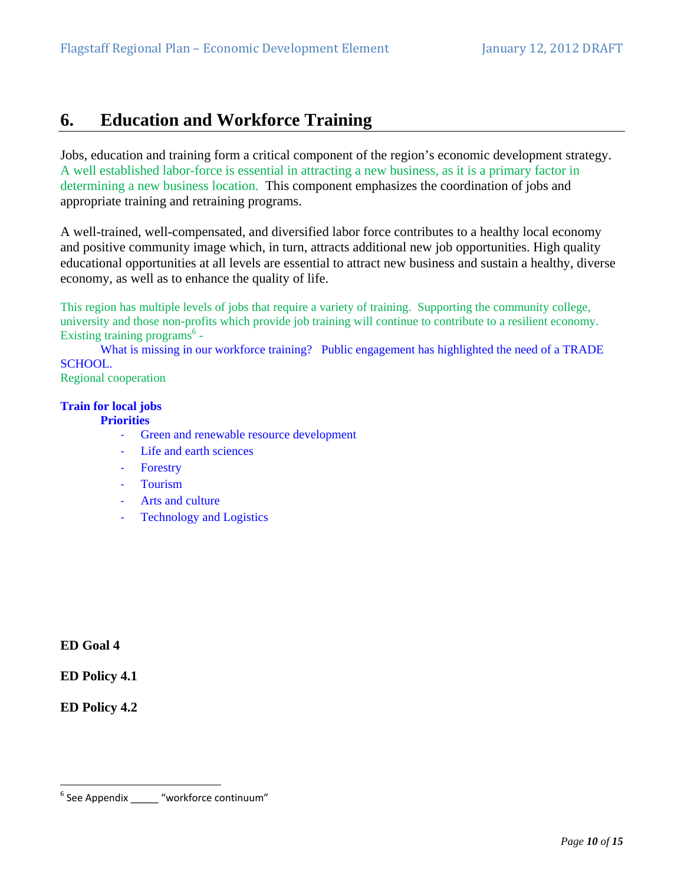# **6. Education and Workforce Training**

Jobs, education and training form a critical component of the region's economic development strategy. A well established labor-force is essential in attracting a new business, as it is a primary factor in determining a new business location. This component emphasizes the coordination of jobs and appropriate training and retraining programs.

A well-trained, well-compensated, and diversified labor force contributes to a healthy local economy and positive community image which, in turn, attracts additional new job opportunities. High quality educational opportunities at all levels are essential to attract new business and sustain a healthy, diverse economy, as well as to enhance the quality of life.

This region has multiple levels of jobs that require a variety of training. Supporting the community college, university and those non-profits which provide job training will continue to contribute to a resilient economy. Existing training programs<sup>6</sup> -

What is missing in our workforce training? Public engagement has highlighted the need of a TRADE SCHOOL.

Regional cooperation

## **Train for local jobs**

### **Priorities**

- ‐ Green and renewable resource development
- ‐ Life and earth sciences
- ‐ Forestry
- ‐ Tourism
- ‐ Arts and culture
- **Technology and Logistics**

**ED Goal 4** 

**ED Policy 4.1** 

**ED Policy 4.2** 

 $^6$  See Appendix \_\_\_\_\_\_ "workforce continuum"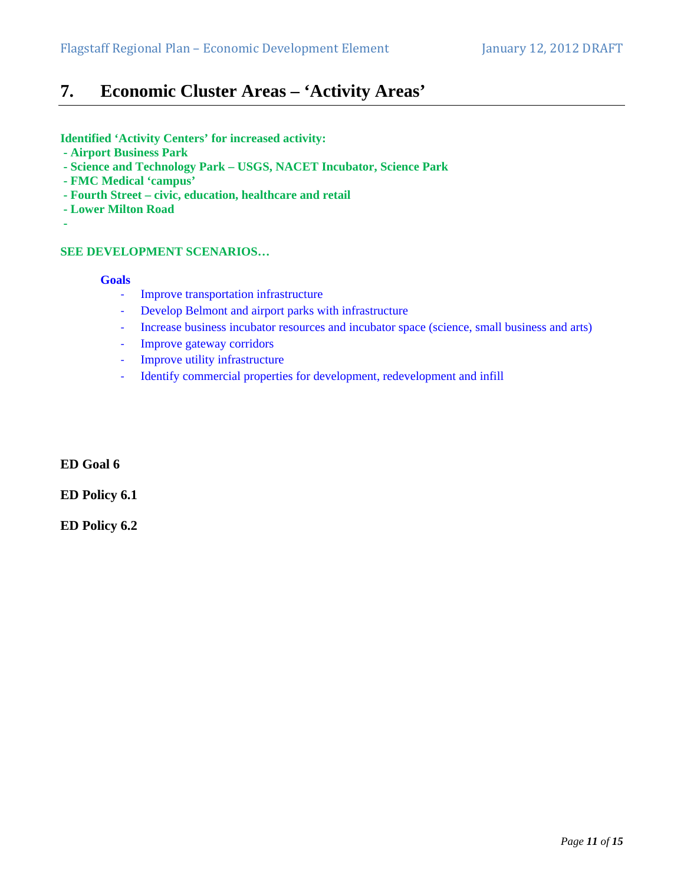# **7. Economic Cluster Areas – 'Activity Areas'**

**Identified 'Activity Centers' for increased activity:** 

- **Airport Business Park**
- **Science and Technology Park USGS, NACET Incubator, Science Park**
- **FMC Medical 'campus'**
- **Fourth Street civic, education, healthcare and retail**
- **Lower Milton Road**
- 

## **SEE DEVELOPMENT SCENARIOS…**

### **Goals**

- ‐ Improve transportation infrastructure
- ‐ Develop Belmont and airport parks with infrastructure
- ‐ Increase business incubator resources and incubator space (science, small business and arts)
- ‐ Improve gateway corridors
- ‐ Improve utility infrastructure
- ‐ Identify commercial properties for development, redevelopment and infill

**ED Goal 6** 

**ED Policy 6.1** 

**ED Policy 6.2**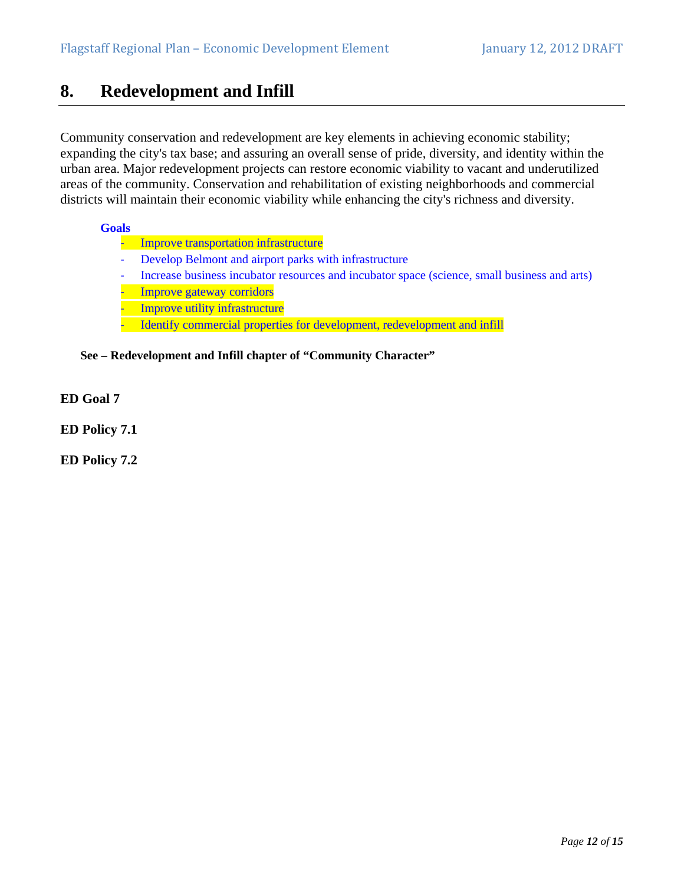## **8. Redevelopment and Infill**

Community conservation and redevelopment are key elements in achieving economic stability; expanding the city's tax base; and assuring an overall sense of pride, diversity, and identity within the urban area. Major redevelopment projects can restore economic viability to vacant and underutilized areas of the community. Conservation and rehabilitation of existing neighborhoods and commercial districts will maintain their economic viability while enhancing the city's richness and diversity.

### **Goals**

- ‐ Improve transportation infrastructure
- ‐ Develop Belmont and airport parks with infrastructure
- Increase business incubator resources and incubator space (science, small business and arts)
- ‐ Improve gateway corridors
- Improve utility infrastructure
- Identify commercial properties for development, redevelopment and infill

## **See – Redevelopment and Infill chapter of "Community Character"**

- **ED Goal 7**
- **ED Policy 7.1**

**ED Policy 7.2**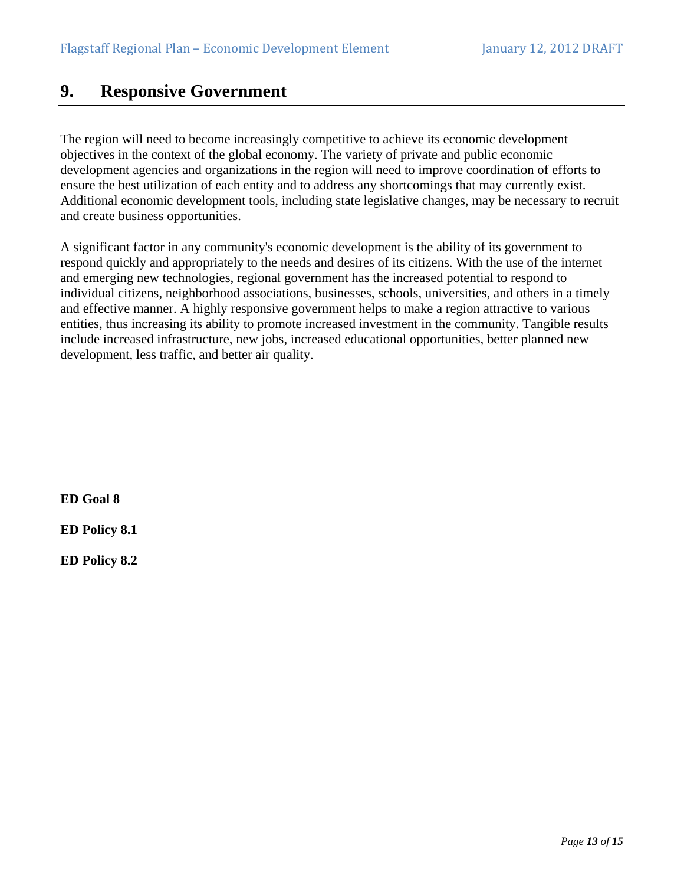# **9. Responsive Government**

The region will need to become increasingly competitive to achieve its economic development objectives in the context of the global economy. The variety of private and public economic development agencies and organizations in the region will need to improve coordination of efforts to ensure the best utilization of each entity and to address any shortcomings that may currently exist. Additional economic development tools, including state legislative changes, may be necessary to recruit and create business opportunities.

A significant factor in any community's economic development is the ability of its government to respond quickly and appropriately to the needs and desires of its citizens. With the use of the internet and emerging new technologies, regional government has the increased potential to respond to individual citizens, neighborhood associations, businesses, schools, universities, and others in a timely and effective manner. A highly responsive government helps to make a region attractive to various entities, thus increasing its ability to promote increased investment in the community. Tangible results include increased infrastructure, new jobs, increased educational opportunities, better planned new development, less traffic, and better air quality.

**ED Goal 8** 

**ED Policy 8.1** 

**ED Policy 8.2**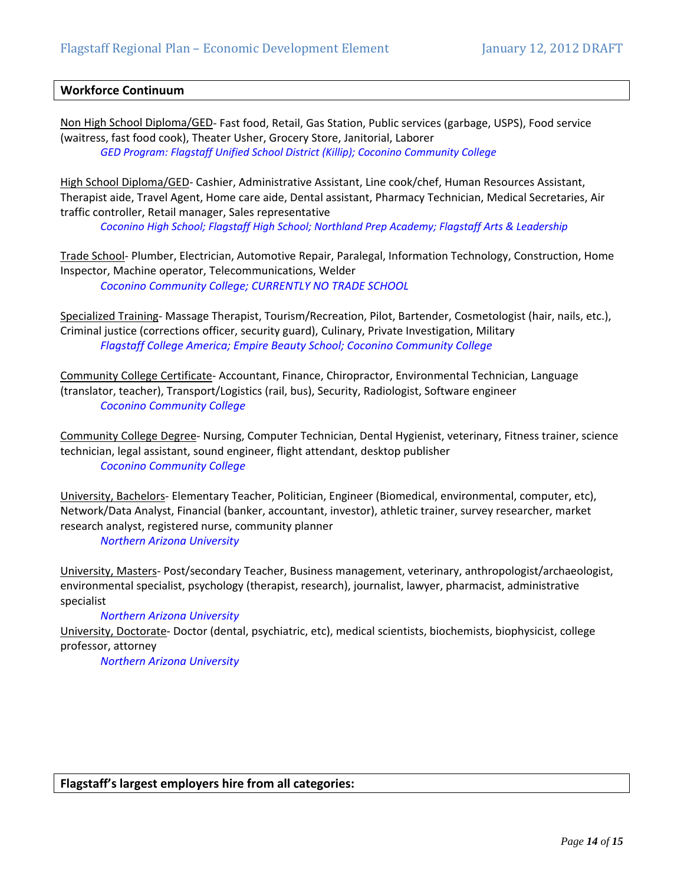### **Workforce Continuum**

Non High School Diploma/GED‐ Fast food, Retail, Gas Station, Public services (garbage, USPS), Food service (waitress, fast food cook), Theater Usher, Grocery Store, Janitorial, Laborer *GED Program: Flagstaff Unified School District (Killip); Coconino Community College*

High School Diploma/GED‐ Cashier, Administrative Assistant, Line cook/chef, Human Resources Assistant, Therapist aide, Travel Agent, Home care aide, Dental assistant, Pharmacy Technician, Medical Secretaries, Air traffic controller, Retail manager, Sales representative

*Coconino High School; Flagstaff High School; Northland Prep Academy; Flagstaff Arts & Leadership*

Trade School‐ Plumber, Electrician, Automotive Repair, Paralegal, Information Technology, Construction, Home Inspector, Machine operator, Telecommunications, Welder *Coconino Community College; CURRENTLY NO TRADE SCHOOL* 

Specialized Training‐ Massage Therapist, Tourism/Recreation, Pilot, Bartender, Cosmetologist (hair, nails, etc.), Criminal justice (corrections officer, security guard), Culinary, Private Investigation, Military *Flagstaff College America; Empire Beauty School; Coconino Community College*

Community College Certificate‐ Accountant, Finance, Chiropractor, Environmental Technician, Language (translator, teacher), Transport/Logistics (rail, bus), Security, Radiologist, Software engineer *Coconino Community College*

Community College Degree‐ Nursing, Computer Technician, Dental Hygienist, veterinary, Fitness trainer, science technician, legal assistant, sound engineer, flight attendant, desktop publisher *Coconino Community College*

University, Bachelors‐ Elementary Teacher, Politician, Engineer (Biomedical, environmental, computer, etc), Network/Data Analyst, Financial (banker, accountant, investor), athletic trainer, survey researcher, market research analyst, registered nurse, community planner

*Northern Arizona University*

University, Masters‐ Post/secondary Teacher, Business management, veterinary, anthropologist/archaeologist, environmental specialist, psychology (therapist, research), journalist, lawyer, pharmacist, administrative specialist

#### *Northern Arizona University*

University, Doctorate‐ Doctor (dental, psychiatric, etc), medical scientists, biochemists, biophysicist, college professor, attorney

*Northern Arizona University*

**Flagstaff's largest employers hire from all categories:**